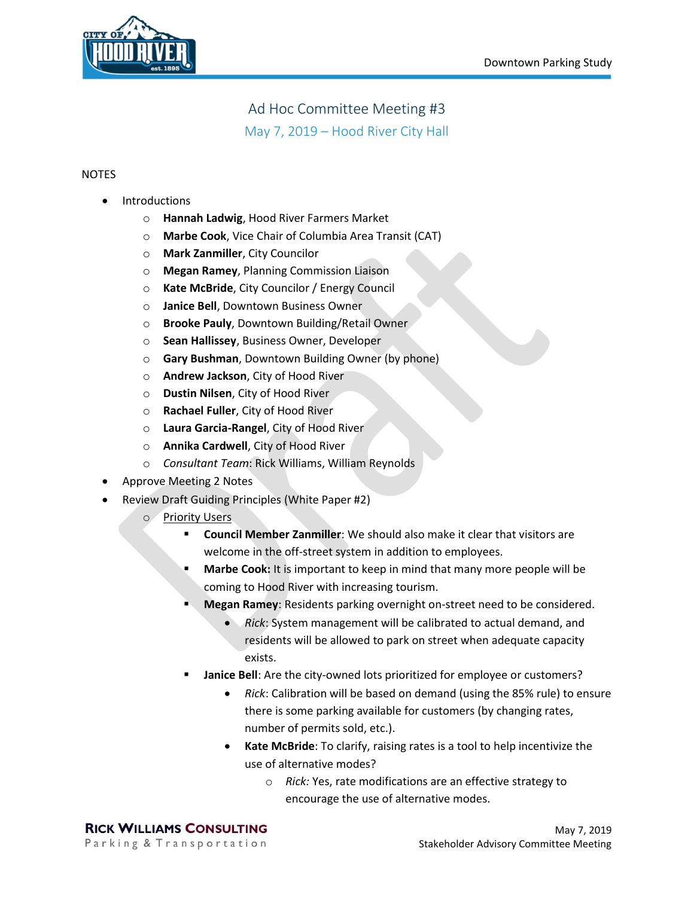

## Ad Hoc Committee Meeting #3 May 7, 2019 – Hood River City Hall

## **NOTES**

- **Introductions** 
	- o **Hannah Ladwig**, Hood River Farmers Market
	- o **Marbe Cook**, Vice Chair of Columbia Area Transit (CAT)
	- o **Mark Zanmiller**, City Councilor
	- o **Megan Ramey**, Planning Commission Liaison
	- o **Kate McBride**, City Councilor / Energy Council
	- o **Janice Bell**, Downtown Business Owner
	- o **Brooke Pauly**, Downtown Building/Retail Owner
	- o **Sean Hallissey**, Business Owner, Developer
	- o **Gary Bushman**, Downtown Building Owner (by phone)
	- o **Andrew Jackson**, City of Hood River
	- o **Dustin Nilsen**, City of Hood River
	- o **Rachael Fuller**, City of Hood River
	- o **Laura Garcia-Rangel**, City of Hood River
	- o **Annika Cardwell**, City of Hood River
	- o *Consultant Team*: Rick Williams, William Reynolds
- Approve Meeting 2 Notes
- Review Draft Guiding Principles (White Paper #2)
	- o Priority Users
		- **Council Member Zanmiller**: We should also make it clear that visitors are welcome in the off-street system in addition to employees.
		- **Marbe Cook:** It is important to keep in mind that many more people will be coming to Hood River with increasing tourism.
		- **Megan Ramey:** Residents parking overnight on-street need to be considered.
			- *Rick*: System management will be calibrated to actual demand, and residents will be allowed to park on street when adequate capacity exists.
		- **Janice Bell**: Are the city-owned lots prioritized for employee or customers?
			- *Rick*: Calibration will be based on demand (using the 85% rule) to ensure there is some parking available for customers (by changing rates, number of permits sold, etc.).
			- **Kate McBride**: To clarify, raising rates is a tool to help incentivize the use of alternative modes?
				- o *Rick:* Yes, rate modifications are an effective strategy to encourage the use of alternative modes.

**RICK WILLIAMS CONSULTING** Parking & Transportation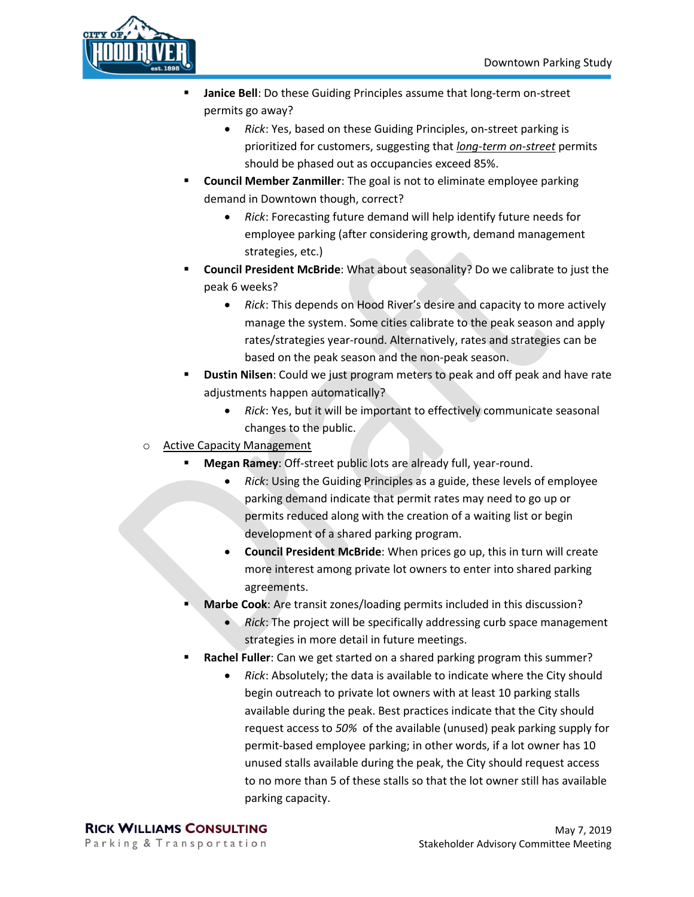

- Janice Bell: Do these Guiding Principles assume that long-term on-street permits go away?
	- *Rick*: Yes, based on these Guiding Principles, on-street parking is prioritized for customers, suggesting that *long-term on-street* permits should be phased out as occupancies exceed 85%.
- **Council Member Zanmiller**: The goal is not to eliminate employee parking demand in Downtown though, correct?
	- *Rick*: Forecasting future demand will help identify future needs for employee parking (after considering growth, demand management strategies, etc.)
- **Council President McBride**: What about seasonality? Do we calibrate to just the peak 6 weeks?
	- *Rick*: This depends on Hood River's desire and capacity to more actively manage the system. Some cities calibrate to the peak season and apply rates/strategies year-round. Alternatively, rates and strategies can be based on the peak season and the non-peak season.
- **Dustin Nilsen**: Could we just program meters to peak and off peak and have rate adjustments happen automatically?
	- *Rick*: Yes, but it will be important to effectively communicate seasonal changes to the public.
- o Active Capacity Management
	- **Megan Ramey:** Off-street public lots are already full, year-round.
		- *Rick*: Using the Guiding Principles as a guide, these levels of employee parking demand indicate that permit rates may need to go up or permits reduced along with the creation of a waiting list or begin development of a shared parking program.
		- **Council President McBride**: When prices go up, this in turn will create more interest among private lot owners to enter into shared parking agreements.
	- **Marbe Cook:** Are transit zones/loading permits included in this discussion?
		- *Rick*: The project will be specifically addressing curb space management strategies in more detail in future meetings.
	- **Rachel Fuller**: Can we get started on a shared parking program this summer?
		- *Rick*: Absolutely; the data is available to indicate where the City should begin outreach to private lot owners with at least 10 parking stalls available during the peak. Best practices indicate that the City should request access to *50%* of the available (unused) peak parking supply for permit-based employee parking; in other words, if a lot owner has 10 unused stalls available during the peak, the City should request access to no more than 5 of these stalls so that the lot owner still has available parking capacity.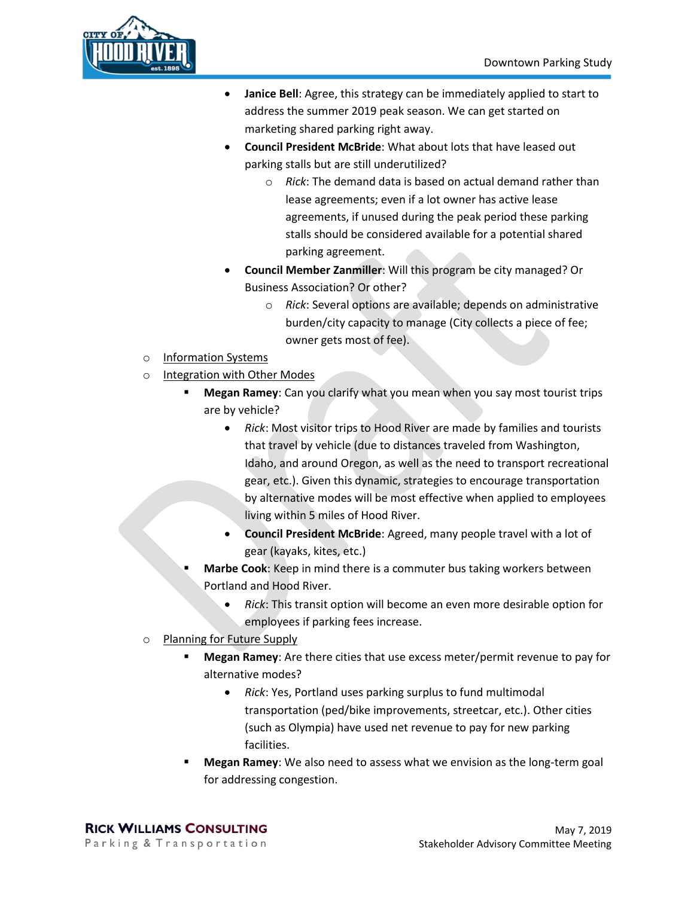

- **Janice Bell**: Agree, this strategy can be immediately applied to start to address the summer 2019 peak season. We can get started on marketing shared parking right away.
- **Council President McBride**: What about lots that have leased out parking stalls but are still underutilized?
	- o *Rick*: The demand data is based on actual demand rather than lease agreements; even if a lot owner has active lease agreements, if unused during the peak period these parking stalls should be considered available for a potential shared parking agreement.
- **Council Member Zanmiller**: Will this program be city managed? Or Business Association? Or other?
	- o *Rick*: Several options are available; depends on administrative burden/city capacity to manage (City collects a piece of fee; owner gets most of fee).
- o Information Systems
- o Integration with Other Modes
	- **Megan Ramey**: Can you clarify what you mean when you say most tourist trips are by vehicle?
		- *Rick*: Most visitor trips to Hood River are made by families and tourists that travel by vehicle (due to distances traveled from Washington, Idaho, and around Oregon, as well as the need to transport recreational gear, etc.). Given this dynamic, strategies to encourage transportation by alternative modes will be most effective when applied to employees living within 5 miles of Hood River.
		- **Council President McBride**: Agreed, many people travel with a lot of gear (kayaks, kites, etc.)
	- **Marbe Cook:** Keep in mind there is a commuter bus taking workers between Portland and Hood River.
		- *Rick*: This transit option will become an even more desirable option for employees if parking fees increase.
- o Planning for Future Supply
	- **Megan Ramey:** Are there cities that use excess meter/permit revenue to pay for alternative modes?
		- *Rick*: Yes, Portland uses parking surplus to fund multimodal transportation (ped/bike improvements, streetcar, etc.). Other cities (such as Olympia) have used net revenue to pay for new parking facilities.
	- **Megan Ramey**: We also need to assess what we envision as the long-term goal for addressing congestion.